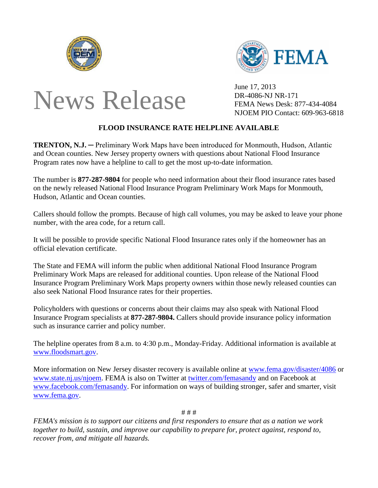





June 17, 2013 DR-4086-NJ NR-171 NJOEM PIO Contact: 609-963-6818

## **FLOOD INSURANCE RATE HELPLINE AVAILABLE**

**TRENTON, N.J.** ─ Preliminary Work Maps have been introduced for Monmouth, Hudson, Atlantic and Ocean counties. New Jersey property owners with questions about National Flood Insurance Program rates now have a helpline to call to get the most up-to-date information.

The number is **877-287-9804** for people who need information about their flood insurance rates based on the newly released National Flood Insurance Program Preliminary Work Maps for Monmouth, Hudson, Atlantic and Ocean counties.

Callers should follow the prompts. Because of high call volumes, you may be asked to leave your phone number, with the area code, for a return call.

It will be possible to provide specific National Flood Insurance rates only if the homeowner has an official elevation certificate.

The State and FEMA will inform the public when additional National Flood Insurance Program Preliminary Work Maps are released for additional counties. Upon release of the National Flood Insurance Program Preliminary Work Maps property owners within those newly released counties can also seek National Flood Insurance rates for their properties.

Policyholders with questions or concerns about their claims may also speak with National Flood Insurance Program specialists at **877-287-9804.** Callers should provide insurance policy information such as insurance carrier and policy number.

The helpline operates from 8 a.m. to 4:30 p.m., Monday-Friday. Additional information is available at [www.floodsmart.gov.](http://www.floodsmart.gov/)

More information on New Jersey disaster recovery is available online at [www.fema.gov/disaster/4086](http://www.fema.gov/disaster/4086) or [www.state.nj.us/njoem.](http://www.state.nj.us/njoem) FEMA is also on Twitter at [twitter.com/femasandy](http://www.twitter.com/femasandy) and on Facebook at [www.facebook.com/femasandy.](http://www.facebook.com/femasandy) For information on ways of building stronger, safer and smarter, visit [www.fema.gov.](http://www.fema.gov/)

# # #

*FEMA's mission is to support our citizens and first responders to ensure that as a nation we work together to build, sustain, and improve our capability to prepare for, protect against, respond to, recover from, and mitigate all hazards.*